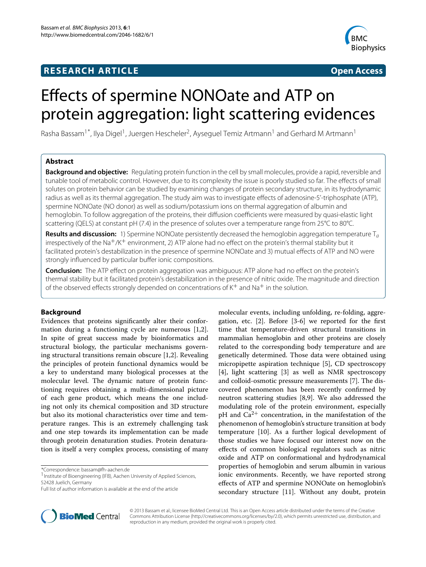## **RESEARCH ARTICLE Open Access**



# Effects of spermine NONOate and ATP on protein aggregation: light scattering evidences

Rasha Bassam<sup>1\*</sup>, Ilya Digel<sup>1</sup>, Juergen Hescheler<sup>2</sup>, Ayseguel Temiz Artmann<sup>1</sup> and Gerhard M Artmann<sup>1</sup>

## **Abstract**

**Background and objective:** Regulating protein function in the cell by small molecules, provide a rapid, reversible and tunable tool of metabolic control. However, due to its complexity the issue is poorly studied so far. The effects of small solutes on protein behavior can be studied by examining changes of protein secondary structure, in its hydrodynamic radius as well as its thermal aggregation. The study aim was to investigate effects of adenosine-5'-triphosphate (ATP), spermine NONOate (NO donor) as well as sodium/potassium ions on thermal aggregation of albumin and hemoglobin. To follow aggregation of the proteins, their diffusion coefficients were measured by quasi-elastic light scattering (QELS) at constant pH (7.4) in the presence of solutes over a temperature range from 25°C to 80°C.

**Results and discussion:** 1) Spermine NONOate persistently decreased the hemoglobin aggregation temperature T<sub>a</sub> irrespectively of the Na<sup>+</sup>/K<sup>+</sup> environment, 2) ATP alone had no effect on the protein's thermal stability but it facilitated protein's destabilization in the presence of spermine NONOate and 3) mutual effects of ATP and NO were strongly influenced by particular buffer ionic compositions.

**Conclusion:** The ATP effect on protein aggregation was ambiguous: ATP alone had no effect on the protein's thermal stability but it facilitated protein's destabilization in the presence of nitric oxide. The magnitude and direction of the observed effects strongly depended on concentrations of  $K^+$  and Na<sup>+</sup> in the solution.

## **Background**

Evidences that proteins significantly alter their conformation during a functioning cycle are numerous [\[1,](#page-6-0)[2\]](#page-6-1). In spite of great success made by bioinformatics and structural biology, the particular mechanisms governing structural transitions remain obscure [\[1,](#page-6-0)[2\]](#page-6-1). Revealing the principles of protein functional dynamics would be a key to understand many biological processes at the molecular level. The dynamic nature of protein functioning requires obtaining a multi-dimensional picture of each gene product, which means the one including not only its chemical composition and 3D structure but also its motional characteristics over time and temperature ranges. This is an extremely challenging task and one step towards its implementation can be made through protein denaturation studies. Protein denaturation is itself a very complex process, consisting of many

\*Correspondence: bassam@fh-aachen.de





© 2013 Bassam et al.; licensee BioMed Central Ltd. This is an Open Access article distributed under the terms of the Creative Commons Attribution License (http://creativecommons.org/licenses/by/2.0), which permits unrestricted use, distribution, and reproduction in any medium, provided the original work is properly cited.

<sup>&</sup>lt;sup>1</sup> Institute of Bioengineering (IFB), Aachen University of Applied Sciences, 52428 Juelich, Germany

Full list of author information is available at the end of the article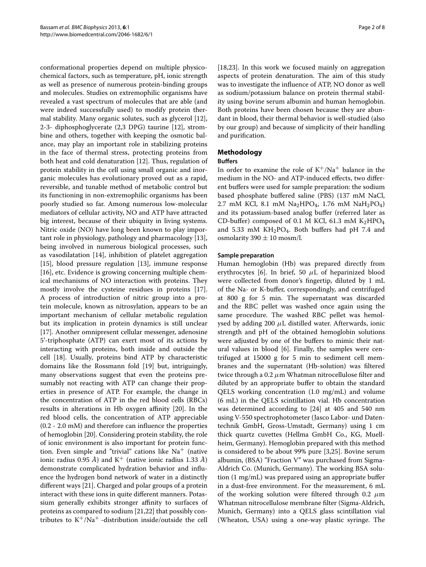conformational properties depend on multiple physicochemical factors, such as temperature, pH, ionic strength as well as presence of numerous protein-binding groups and molecules. Studies on extremophilic organisms have revealed a vast spectrum of molecules that are able (and were indeed successfully used) to modify protein thermal stability. Many organic solutes, such as glycerol [\[12\]](#page-6-11), 2-3- diphosphoglycerate (2,3 DPG) taurine [\[12\]](#page-6-11), strombine and others, together with keeping the osmotic balance, may play an important role in stabilizing proteins in the face of thermal stress, protecting proteins from both heat and cold denaturation [\[12\]](#page-6-11). Thus, regulation of protein stability in the cell using small organic and inorganic molecules has evolutionary proved out as a rapid, reversible, and tunable method of metabolic control but its functioning in non-extremophilic organisms has been poorly studied so far. Among numerous low-molecular mediators of cellular activity, NO and ATP have attracted big interest, because of their ubiquity in living systems. Nitric oxide (NO) have long been known to play important role in physiology, pathology and pharmacology [\[13\]](#page-6-12), being involved in numerous biological processes, such as vasodilatation [\[14\]](#page-6-13), inhibition of platelet aggregation [\[15\]](#page-6-14), blood pressure regulation [\[13\]](#page-6-12), immune response [\[16\]](#page-6-15), etc. Evidence is growing concerning multiple chemical mechanisms of NO interaction with proteins. They mostly involve the cysteine residues in proteins [\[17\]](#page-6-16). A process of introduction of nitric group into a protein molecule, known as nitrosylation, appears to be an important mechanism of cellular metabolic regulation but its implication in protein dynamics is still unclear [\[17\]](#page-6-16). Another omnipresent cellular messenger, adenosine 5'-triphosphate (ATP) can exert most of its actions by interacting with proteins, both inside and outside the cell [\[18\]](#page-6-17). Usually, proteins bind ATP by characteristic domains like the Rossmann fold [\[19\]](#page-6-18) but, intriguingly, many observations suggest that even the proteins presumably not reacting with ATP can change their properties in presence of ATP. For example, the change in the concentration of ATP in the red blood cells (RBCs) results in alterations in Hb oxygen affinity [\[20\]](#page-6-19). In the red blood cells, the concentration of ATP appreciable (0.2 - 2.0 mM) and therefore can influence the properties of hemoglobin [\[20\]](#page-6-19). Considering protein stability, the role of ionic environment is also important for protein function. Even simple and "trivial" cations like  $Na<sup>+</sup>$  (native ionic radius 0.95  $\AA$ ) and K<sup>+</sup> (native ionic radius 1.33  $\AA$ ) demonstrate complicated hydration behavior and influence the hydrogen bond network of water in a distinctly different ways [\[21\]](#page-6-20). Charged and polar groups of a protein interact with these ions in quite different manners. Potassium generally exhibits stronger affinity to surfaces of proteins as compared to sodium [\[21](#page-6-20)[,22\]](#page-6-21) that possibly contributes to  $K^+/Na^+$  -distribution inside/outside the cell

[\[18](#page-6-17)[,23\]](#page-6-22). In this work we focused mainly on aggregation aspects of protein denaturation. The aim of this study was to investigate the influence of ATP, NO donor as well as sodium/potassium balance on protein thermal stability using bovine serum albumin and human hemoglobin. Both proteins have been chosen because they are abundant in blood, their thermal behavior is well-studied (also by our group) and because of simplicity of their handling and purification.

## **Methodology Buffers**

In order to examine the role of  $K^+/Na^+$  balance in the medium in the NO- and ATP-induced effects, two different buffers were used for sample preparation: the sodium based phosphate buffered saline (PBS) (137 mM NaCl, 2.7 mM KCl, 8.1 mM Na<sub>2</sub>HPO<sub>4</sub>, 1.76 mM NaH<sub>2</sub>PO<sub>4</sub>) and its potassium-based analog buffer (referred later as CD-buffer) composed of 0.1 M KCl, 61.3 mM  $K<sub>2</sub>HPO<sub>4</sub>$ and 5.33 mM  $KH_2PO_4$ . Both buffers had pH 7.4 and osmolarity 390  $\pm$  10 mosm/l.

## **Sample preparation**

Human hemoglobin (Hb) was prepared directly from erythrocytes [\[6\]](#page-6-3). In brief, 50 *μ*L of heparinized blood were collected from donor's fingertip, diluted by 1 mL of the Na- or K-buffer, correspondingly, and centrifuged at 800 g for 5 min. The supernatant was discarded and the RBC pellet was washed once again using the same procedure. The washed RBC pellet was hemolysed by adding 200 *μ*L distilled water. Afterwards, ionic strength and pH of the obtained hemoglobin solutions were adjusted by one of the buffers to mimic their natural values in blood [\[6\]](#page-6-3). Finally, the samples were centrifuged at 15000 g for 5 min to sediment cell membranes and the supernatant (Hb-solution) was filtered twice through a 0.2 *μ*m Whatman nitrocellulose filter and diluted by an appropriate buffer to obtain the standard QELS working concentration (1.0 mg/mL) and volume (6 mL) in the QELS scintillation vial. Hb concentration was determined according to [\[24\]](#page-6-23) at 405 and 540 nm using V-550 spectrophotometer (Jasco Labor- und Datentechnik GmbH, Gross-Umstadt, Germany) using 1 cm thick quartz cuvettes (Hellma GmbH Co., KG, Muellheim, Germany). Hemoglobin prepared with this method is considered to be about 99% pure [\[3,](#page-6-2)[25\]](#page-6-24). Bovine serum albumin, (BSA) "Fraction V" was purchased from Sigma-Aldrich Co. (Munich, Germany). The working BSA solution (1 mg/mL) was prepared using an appropriate buffer in a dust-free environment. For the measurement, 6 mL of the working solution were filtered through 0.2 *μ*m Whatman nitrocellulose membrane filter (Sigma-Aldrich, Munich, Germany) into a QELS glass scintillation vial (Wheaton, USA) using a one-way plastic syringe. The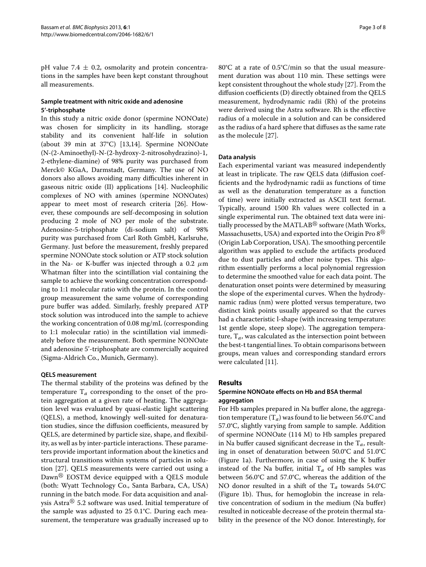pH value 7.4  $\pm$  0.2, osmolarity and protein concentrations in the samples have been kept constant throughout all measurements.

## **Sample treatment with nitric oxide and adenosine 5'-triphosphate**

In this study a nitric oxide donor (spermine NONOate) was chosen for simplicity in its handling, storage stability and its convenient half-life in solution (about 39 min at 37°C) [\[13,](#page-6-12)[14\]](#page-6-13). Spermine NONOate (N-(2-Aminoethyl)-N-(2-hydroxy-2-nitrosohydrazino)-1, 2-ethylene-diamine) of 98% purity was purchased from Merck© KGaA, Darmstadt, Germany. The use of NO donors also allows avoiding many difficulties inherent in gaseous nitric oxide (II) applications [\[14\]](#page-6-13). Nucleophilic complexes of NO with amines (spermine NONOates) appear to meet most of research criteria [\[26\]](#page-6-25). However, these compounds are self-decomposing in solution producing 2 mole of NO per mole of the substrate. Adenosine-5-triphosphate (di-sodium salt) of 98% purity was purchased from Carl Roth GmbH, Karlsruhe, Germany. Just before the measurement, freshly prepared spermine NONOate stock solution or ATP stock solution in the Na- or K-buffer was injected through a 0.2 *μ*m Whatman filter into the scintillation vial containing the sample to achieve the working concentration corresponding to 1:1 molecular ratio with the protein. In the control group measurement the same volume of corresponding pure buffer was added. Similarly, freshly prepared ATP stock solution was introduced into the sample to achieve the working concentration of 0.08 mg/mL (corresponding to 1:1 molecular ratio) in the scintillation vial immediately before the measurement. Both spermine NONOate and adenosine 5'-triphosphate are commercially acquired (Sigma-Aldrich Co., Munich, Germany).

## **QELS measurement**

The thermal stability of the proteins was defined by the temperature  $T_a$  corresponding to the onset of the protein aggregation at a given rate of heating. The aggregation level was evaluated by quasi-elastic light scattering (QELS), a method, knowingly well-suited for denaturation studies, since the diffusion coefficients, measured by QELS, are determined by particle size, shape, and flexibility, as well as by inter-particle interactions. These parameters provide important information about the kinetics and structural transitions within systems of particles in solution [\[27\]](#page-6-26). QELS measurements were carried out using a Dawn<sup>®</sup> EOSTM device equipped with a QELS module (both: Wyatt Technology Co., Santa Barbara, CA, USA) running in the batch mode. For data acquisition and analysis Astra $^{\circledR}$  5.2 software was used. Initial temperature of the sample was adjusted to 25 0.1°C. During each measurement, the temperature was gradually increased up to 80°C at a rate of 0.5°C/min so that the usual measurement duration was about 110 min. These settings were kept consistent throughout the whole study [\[27\]](#page-6-26). From the diffusion coefficients (D) directly obtained from the QELS measurement, hydrodynamic radii (Rh) of the proteins were derived using the Astra software. Rh is the effective radius of a molecule in a solution and can be considered as the radius of a hard sphere that diffuses as the same rate as the molecule [\[27\]](#page-6-26).

## **Data analysis**

Each experimental variant was measured independently at least in triplicate. The raw QELS data (diffusion coefficients and the hydrodynamic radii as functions of time as well as the denaturation temperature as a function of time) were initially extracted as ASCII text format. Typically, around 1500 Rh values were collected in a single experimental run. The obtained text data were initially processed by the MATLAB $^\circledR$  software (Math Works, Massachusetts, USA) and exported into the Origin Pro 8 $^{\circledR}$ (Origin Lab Corporation, USA). The smoothing percentile algorithm was applied to exclude the artifacts produced due to dust particles and other noise types. This algorithm essentially performs a local polynomial regression to determine the smoothed value for each data point. The denaturation onset points were determined by measuring the slope of the experimental curves. When the hydrodynamic radius (nm) were plotted versus temperature, two distinct kink points usually appeared so that the curves had a characteristic l-shape (with increasing temperature: 1st gentle slope, steep slope). The aggregation temperature,  $T_a$ , was calculated as the intersection point between the best-t tangential lines. To obtain comparisons between groups, mean values and corresponding standard errors were calculated [\[11\]](#page-6-10).

## **Results**

## **Spermine NONOate effects on Hb and BSA thermal aggregation**

For Hb samples prepared in Na buffer alone, the aggregation temperature  $(T_a)$  was found to lie between 56.0°C and 57.0°C, slightly varying from sample to sample. Addition of spermine NONOate (114 M) to Hb samples prepared in Na buffer caused significant decrease in the T*a*, resulting in onset of denaturation between 50.0°C and 51.0°C (Figure [1a](#page-3-0)). Furthermore, in case of using the K buffer instead of the Na buffer, initial  $T_a$  of Hb samples was between 56.0°C and 57.0°C, whereas the addition of the NO donor resulted in a shift of the  $T_a$  towards 54.0°C (Figure [1b](#page-3-0)). Thus, for hemoglobin the increase in relative concentration of sodium in the medium (Na buffer) resulted in noticeable decrease of the protein thermal stability in the presence of the NO donor. Interestingly, for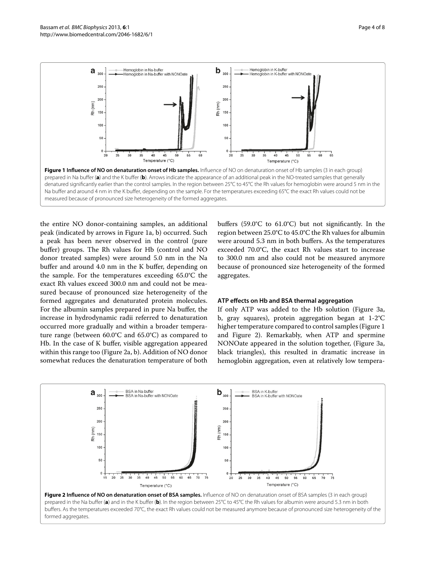

<span id="page-3-0"></span>the entire NO donor-containing samples, an additional peak (indicated by arrows in Figure [1a](#page-3-0), b) occurred. Such a peak has been never observed in the control (pure buffer) groups. The Rh values for Hb (control and NO donor treated samples) were around 5.0 nm in the Na buffer and around 4.0 nm in the K buffer, depending on the sample. For the temperatures exceeding 65.0°C the exact Rh values exceed 300.0 nm and could not be measured because of pronounced size heterogeneity of the formed aggregates and denaturated protein molecules. For the albumin samples prepared in pure Na buffer, the increase in hydrodynamic radii referred to denaturation occurred more gradually and within a broader temperature range (between 60.0°C and 65.0°C) as compared to Hb. In the case of K buffer, visible aggregation appeared within this range too (Figure [2a](#page-3-1), b). Addition of NO donor somewhat reduces the denaturation temperature of both buffers (59.0°C to 61.0°C) but not significantly. In the region between 25.0°C to 45.0°C the Rh values for albumin were around 5.3 nm in both buffers. As the temperatures exceeded 70.0°C, the exact Rh values start to increase to 300.0 nm and also could not be measured anymore because of pronounced size heterogeneity of the formed aggregates.

#### **ATP effects on Hb and BSA thermal aggregation**

If only ATP was added to the Hb solution (Figure [3a](#page-4-0), b, gray squares), protein aggregation began at 1-2°C higher temperature compared to control samples (Figure [1](#page-3-0) and Figure [2\)](#page-3-1). Remarkably, when ATP and spermine NONOate appeared in the solution together, (Figure [3a](#page-4-0), black triangles), this resulted in dramatic increase in hemoglobin aggregation, even at relatively low tempera-

<span id="page-3-1"></span>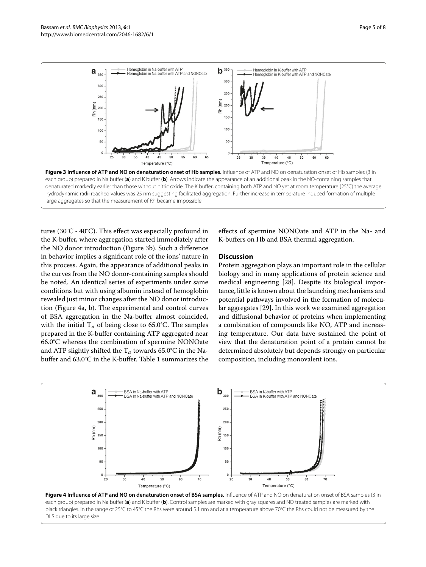

<span id="page-4-0"></span>tures (30°C - 40°C). This effect was especially profound in the K-buffer, where aggregation started immediately after the NO donor introduction (Figure [3b](#page-4-0)). Such a difference in behavior implies a significant role of the ions' nature in this process. Again, the appearance of additional peaks in the curves from the NO donor-containing samples should be noted. An identical series of experiments under same conditions but with using albumin instead of hemoglobin revealed just minor changes after the NO donor introduction (Figure [4a](#page-4-1), b). The experimental and control curves of BSA aggregation in the Na-buffer almost coincided, with the initial  $T_a$  of being close to 65.0°C. The samples prepared in the K-buffer containing ATP aggregated near 66.0°C whereas the combination of spermine NONOate and ATP slightly shifted the  $T_a$  towards 65.0°C in the Nabuffer and 63.0°C in the K-buffer. Table [1](#page-5-0) summarizes the

effects of spermine NONOate and ATP in the Na- and K-buffers on Hb and BSA thermal aggregation.

#### **Discussion**

Protein aggregation plays an important role in the cellular biology and in many applications of protein science and medical engineering [\[28\]](#page-6-27). Despite its biological importance, little is known about the launching mechanisms and potential pathways involved in the formation of molecular aggregates [\[29\]](#page-6-28). In this work we examined aggregation and diffusional behavior of proteins when implementing a combination of compounds like NO, ATP and increasing temperature. Our data have sustained the point of view that the denaturation point of a protein cannot be determined absolutely but depends strongly on particular composition, including monovalent ions.

<span id="page-4-1"></span>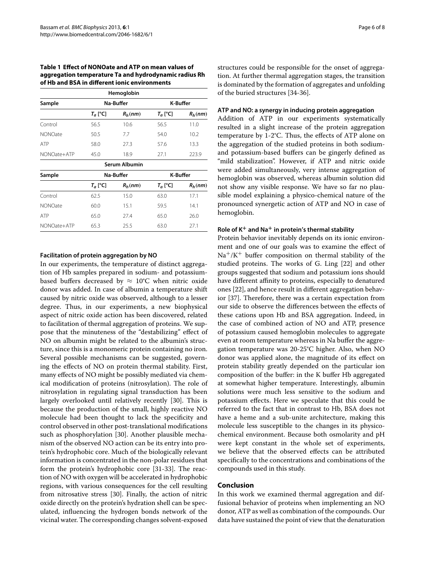#### <span id="page-5-0"></span>**Table 1 Effect of NONOate and ATP on mean values of aggregation temperature Ta and hydrodynamic radius Rh of Hb and BSA in different ionic environments**

|                |            | Hemoglobin    |                 |           |
|----------------|------------|---------------|-----------------|-----------|
| Sample         | Na-Buffer  |               | <b>K-Buffer</b> |           |
|                | $T_a$ [°C] | $R_h(nm)$     | $T_a$ [°C]      | $R_h(nm)$ |
| Control        | 56.5       | 10.6          | 56.5            | 11.0      |
| <b>NONOate</b> | 50.5       | 7.7           | 54.0            | 10.2      |
| <b>ATP</b>     | 58.0       | 27.3          | 57.6            | 13.3      |
| NONOate+ATP    | 45.0       | 18.9          | 27.1            | 223.9     |
|                |            | Serum Albumin |                 |           |
| Sample         | Na-Buffer  |               | <b>K-Buffer</b> |           |
|                | $T_a$ [°C] | $R_h(nm)$     | $T_a$ [°C]      | $R_h(nm)$ |
| Control        | 62.5       | 15.0          | 63.0            | 17.1      |
| <b>NONOate</b> | 60.0       | 15.1          | 59.5            | 14.1      |
| <b>ATP</b>     | 65.0       | 27.4          | 65.0            | 26.0      |
| NONOate+ATP    | 65.3       | 25.5          | 63.0            | 27.1      |

## **Facilitation of protein aggregation by NO**

In our experiments, the temperature of distinct aggregation of Hb samples prepared in sodium- and potassiumbased buffers decreased by  $\approx 10^{\circ}$ C when nitric oxide donor was added. In case of albumin a temperature shift caused by nitric oxide was observed, although to a lesser degree. Thus, in our experiments, a new biophysical aspect of nitric oxide action has been discovered, related to facilitation of thermal aggregation of proteins. We suppose that the minuteness of the "destabilizing" effect of NO on albumin might be related to the albumin's structure, since this is a monomeric protein containing no iron. Several possible mechanisms can be suggested, governing the effects of NO on protein thermal stability. First, many effects of NO might be possibly mediated via chemical modification of proteins (nitrosylation). The role of nitrosylation in regulating signal transduction has been largely overlooked until relatively recently [\[30\]](#page-6-29). This is because the production of the small, highly reactive NO molecule had been thought to lack the specificity and control observed in other post-translational modifications such as phosphorylation [\[30\]](#page-6-29). Another plausible mechanism of the observed NO action can be its entry into protein's hydrophobic core. Much of the biologically relevant information is concentrated in the non-polar residues that form the protein's hydrophobic core [\[31](#page-6-30)[-33\]](#page-6-31). The reaction of NO with oxygen will be accelerated in hydrophobic regions, with various consequences for the cell resulting from nitrosative stress [\[30\]](#page-6-29). Finally, the action of nitric oxide directly on the protein's hydration shell can be speculated, influencing the hydrogen bonds network of the vicinal water. The corresponding changes solvent-exposed structures could be responsible for the onset of aggregation. At further thermal aggregation stages, the transition is dominated by the formation of aggregates and unfolding of the buried structures [\[34-](#page-7-0)[36\]](#page-7-1).

#### **ATP and NO: a synergy in inducing protein aggregation**

Addition of ATP in our experiments systematically resulted in a slight increase of the protein aggregation temperature by 1-2°C. Thus, the effects of ATP alone on the aggregation of the studied proteins in both sodiumand potassium-based buffers can be gingerly defined as "mild stabilization". However, if ATP and nitric oxide were added simultaneously, very intense aggregation of hemoglobin was observed, whereas albumin solution did not show any visible response. We have so far no plausible model explaining a physico-chemical nature of the pronounced synergetic action of ATP and NO in case of hemoglobin.

## **Role of K+ and Na+ in protein's thermal stability**

Protein behavior inevitably depends on its ionic environment and one of our goals was to examine the effect of  $Na^{+}/K^{+}$  buffer composition on thermal stability of the studied proteins. The works of G. Ling [\[22\]](#page-6-21) and other groups suggested that sodium and potassium ions should have different affinity to proteins, especially to denatured ones [\[22\]](#page-6-21), and hence result in different aggregation behavior [\[37\]](#page-7-2). Therefore, there was a certain expectation from our side to observe the differences between the effects of these cations upon Hb and BSA aggregation. Indeed, in the case of combined action of NO and ATP, presence of potassium caused hemoglobin molecules to aggregate even at room temperature whereas in Na buffer the aggregation temperature was 20-25°C higher. Also, when NO donor was applied alone, the magnitude of its effect on protein stability greatly depended on the particular ion composition of the buffer: in the K buffer Hb aggregated at somewhat higher temperature. Interestingly, albumin solutions were much less sensitive to the sodium and potassium effects. Here we speculate that this could be referred to the fact that in contrast to Hb, BSA does not have a heme and a sub-unite architecture, making this molecule less susceptible to the changes in its physicochemical environment. Because both osmolarity and pH were kept constant in the whole set of experiments, we believe that the observed effects can be attributed specifically to the concentrations and combinations of the compounds used in this study.

## **Conclusion**

In this work we examined thermal aggregation and diffusional behavior of proteins when implementing an NO donor, ATP as well as combination of the compounds. Our data have sustained the point of view that the denaturation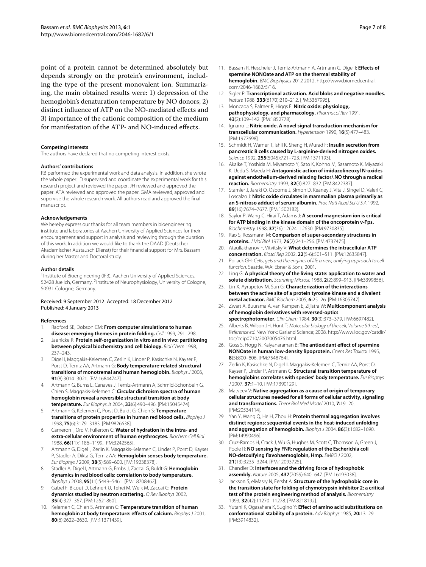point of a protein cannot be determined absolutely but depends strongly on the protein's environment, including the type of the present monovalent ion. Summarizing, the main obtained results were: 1) depression of the hemoglobin's denaturation temperature by NO donors; 2) distinct influence of ATP on the NO-mediated effects and 3) importance of the cationic composition of the medium for manifestation of the ATP- and NO-induced effects.

#### **Competing interests**

The authors have declared that no competing interest exists.

#### **Authors' contributions**

RB performed the experimental work and data analysis. In addition, she wrote the whole paper. ID supervised and coordinate the experimental work for this research project and reviewed the paper. JH reviewed and approved the paper. ATA reviewed and approved the paper. GMA reviewed, approved and supervise the whole research work. All authors read and approved the final manuscript.

#### **Acknowledgements**

We hereby express our thanks for all team members in bioengineering institute and laboratories at Aachen University of Applied Sciences for their encouragement and support in analysis and reviewing through the duration of this work. In addition we would like to thank the DAAD (Deutscher Akademischer Austausch Dienst) for their financial support for Mrs. Bassam during her Master and Doctoral study.

#### **Author details**

<sup>1</sup> Institute of Bioengineering (IFB), Aachen University of Applied Sciences, 52428 Juelich, Germany. <sup>2</sup>Institute of Neurophysiology, University of Cologne, 50931 Cologne, Germany.

#### Received: 9 September 2012 Accepted: 18 December 2012 Published: 4 January 2013

#### **References**

- <span id="page-6-0"></span>1. Radford SE, Dobson CM: **From computer simulations to human disease: emerging themes in protein folding.** Cell 1999, 291–298.
- <span id="page-6-1"></span>2. Jaenicke R: **Protein self-organization in vitro and in vivo: partitioning between physical biochemistry and cell biology.** Biol Chem 1998, 237–243.
- <span id="page-6-2"></span>3. Digel I, Maggakis-Kelemen C, Zerlin K, Linder P, Kasischke N, Kayser P, Porst D, Temiz AA, Artmann G: **Body temperature-related structural transitions of monotremal and human hemoglobin.** Biophys J 2006, **91**(8):3014–3021. [PM:16844747].
- <span id="page-6-5"></span>4. Artmann G, Burns L, Canaves J, Temiz-Artmann A, Schmid-Schonbein G, Chien S, Maggakis-Kelemen C: **Circular dichroism spectra of human hemoglobin reveal a reversible structural transition at body temperature.** Eur Biophys Js 2004, **33**(6):490–496. [PM:15045474].
- <span id="page-6-4"></span>5. Artmann G, Kelemen C, Porst D, Buldt G, Chien S: **Temperature transitions of protein properties in human red blood cells.** Biophys J 1998, **75**(6):3179–3183. [PM:9826638].
- <span id="page-6-3"></span>6. Cameron I, Ord V, Fullerton G: **Water of hydration in the intra- and extra-cellular environment of human erythrocytes.** Biochem Cell Biol 1988, **66**(11):1186–1199. [PM:3242565].
- <span id="page-6-6"></span>7. Artmann G, Digel I, Zerlin K, Maggakis-Kelemen C, Linder P, Porst D, Kayser P, Stadler A, Dikta G, Temiz AA: **Hemoglobin senses body temperature.** Eur Biophys J 2009, **38**(5):589–600. [PM:19238378].
- <span id="page-6-7"></span>8. Stadler A, Digel I, Artmann G, Embs J, Zaccai G, Buldt G: **Hemoglobin dynamics in red blood cells: correlation to body temperature.** Biophys J 2008, **95**(11):5449–5461. [PM:18708462].
- <span id="page-6-8"></span>9. Gabel F, Bicout D, Lehnert U, Tehei M, Weik M, Zaccai G: **Protein dynamics studied by neutron scattering.** Q Rev Biophys 2002, **35**(4):327–367. [PM:12621860].
- <span id="page-6-9"></span>10. Kelemen C, Chien S, Artmann G: **Temperature transition of human hemoglobin at body temperature: effects of calcium.** Biophys J 2001, **80**(6):2622–2630. [PM:11371439].
- <span id="page-6-10"></span>11. Bassam R, Hescheler J, Temiz-Artmann A, Artmann G, Digel I: **Effects of spermine NONOate and ATP on the thermal stability of hemoglobin.** BMC Biophysics 2012 2012. [http://www.biomedcentral.](http://www.biomedcentral.com/2046-1682/5/16) [com/2046-1682/5/16.](http://www.biomedcentral.com/2046-1682/5/16)
- <span id="page-6-11"></span>12. Sigler P: **Transcriptional activation. Acid blobs and negative noodles.** Nature 1988, **333**(6170):210–212. [PM:3367995].
- <span id="page-6-12"></span>13. Moncada S, Palmer R, Higgs E: **Nitric oxide: physiology, pathophysiology, and pharmacology.** Pharmacol Rev 1991, **43**(2):109–142. [PM:1852778].
- <span id="page-6-13"></span>14. Ignarro L: **Nitric oxide. A novel signal transduction mechanism for transcellular communication.** Hypertension 1990, **16**(5):477–483. [PM:1977698].
- <span id="page-6-14"></span>15. Schmidt H, Warner T, Ishii K, Sheng H, Murad F: **Insulin secretion from pancreatic B cells caused by L-arginine-derived nitrogen oxides.** Science 1992, **255**(5045):721–723. [PM:1371193].
- <span id="page-6-15"></span>16. Akaike T, Yoshida M, Miyamoto Y, Sato K, Kohno M, Sasamoto K, Miyazaki K, Ueda S, Maeda H: **Antagonistic action of imidazolineoxyl N-oxides against endothelium-derived relaxing factor/.NO through a radical reaction.** Biochemistry 1993, **32**(3):827–832. [PM:8422387].
- <span id="page-6-16"></span>17. Stamler J, Jaraki O, Osborne J, Simon D, Keaney J, Vita J, Singel D, Valeri C, Loscalzo J: **Nitric oxide circulates in mammalian plasma primarily as an S-nitroso adduct of serum albumin.** Proc Natl Acad Sci U S A 1992, **89**(16):7674–7677. [PM:1502182].
- <span id="page-6-17"></span>18. Saylor P, Wang C, Hirai T, Adams J: **A second magnesium ion is critical for ATP binding in the kinase domain of the oncoprotein v-Fps.** Biochemistry 1998, **37**(36):12624–12630. [PM:9730835].
- <span id="page-6-18"></span>19. Rao S, Rossmann M: **Comparison of super-secondary structures in proteins.** J Mol Biol 1973, **76**(2):241–256. [PM:4737475].
- <span id="page-6-19"></span>20. Ataullakhanov F, Vitvitsky V: **What determines the intracellular ATP concentration.** Biosci Rep 2002, **22**(5-6):501–511. [PM:12635847].
- <span id="page-6-20"></span>21. Pollack GH: Cells, gels and the engines of life a new, unifying approach to cell function. Seattle, WA: Ebner & Sons; 2001.
- <span id="page-6-21"></span>22. Ling G: **A physical theory of the living state: application to water and solute distribution.** Scanning Microsc 1988, **2**(2):899–913. [PM:3399856].
- <span id="page-6-22"></span>23. Lin X, Ayrapetov M, Sun G: **Characterization of the interactions between the active site of a protein tyrosine kinase and a divalent metal activator.** BMC Biochem 2005, **6:**25–26. [PM:16305747].
- <span id="page-6-23"></span>24. Zwart A, Buursma A, van Kampen E, Zijlstra W: **Multicomponent analysis of hemoglobin derivatives with reversed-optics spectrophotometer.** Clin Chem 1984, **30**(3):373–379. [PM:6697482].
- <span id="page-6-24"></span>25. Alberts B, Wilson JH, Hunt T: Molecular biology of the cell, Volume 5th ed., Reference ed. New York: Garland Science; 2008. [http://www.loc.gov/catdir/](http://www.loc.gov/catdir/toc/ecip0710/2007005476.html) [toc/ecip0710/2007005476.html.](http://www.loc.gov/catdir/toc/ecip0710/2007005476.html)
- <span id="page-6-25"></span>26. Goss S, Hogg N, Kalyanaraman B: **The antioxidant effect of spermine NONOate in human low-density lipoprotein.** Chem Res Toxicol 1995, **8**(5):800–806. [PM:7548764].
- <span id="page-6-26"></span>27. Zerlin K, Kasischke N, Digel I, Maggakis-Kelemen C, Temiz AA, Porst D, Kayser P, Linder P, Artmann G: **Structural transition temperature of hemoglobins correlates with species' body temperature.** Eur Biophys J 2007, **37:**1–10. [PM:17390129].
- <span id="page-6-27"></span>28. Matveev V: **Native aggregation as a cause of origin of temporary cellular structures needed for all forms of cellular activity, signaling and transformations.** Theor Biol Med Model 2010, **7:**19–20. [PM:20534114].
- <span id="page-6-28"></span>29. Yan Y, Wang Q, He H, Zhou H: **Protein thermal aggregation involves distinct regions: sequential events in the heat-induced unfolding and aggregation of hemoglobin.** Biophys J 2004, **86**(3):1682–1690. [PM:14990496].
- <span id="page-6-29"></span>30. Cruz-Ramos H, Crack J, Wu G, Hughes M, Scott C, Thomson A, Green J, Poole R: **NO sensing by FNR: regulation of the Escherichia coli NO-detoxifying flavohaemoglobin, Hmp.** EMBO J 2002, **21**(13):3235–3244. [PM:12093725].
- <span id="page-6-30"></span>31. Chandler D: **Interfaces and the driving force of hydrophobic assembly.** Nature 2005, **437**(7059):640–647. [PM:16193038].
- 32. Jackson S, elMasry N, Fersht A: **Structure of the hydrophobic core in the transition state for folding of chymotrypsin inhibitor 2: a critical test of the protein engineering method of analysis.** Biochemistry 1993, **32**(42):11270–11278. [PM:8218192].
- <span id="page-6-31"></span>33. Yutani K, Ogasahara K, Sugino Y: **Effect of amino acid substitutions on conformational stability of a protein.** Adv Biophys 1985, **20:**13–29. [PM:3914832].